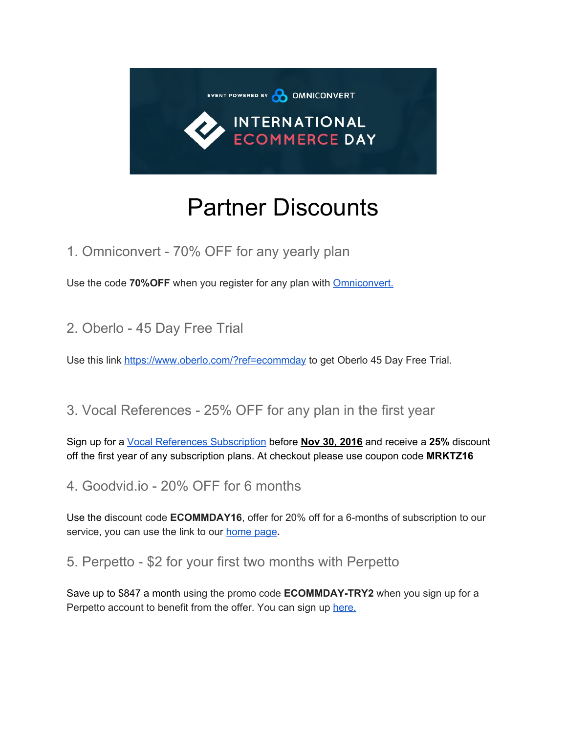

## Partner Discounts

1. Omniconvert - 70% OFF for any yearly plan

Use the code 70%OFF when you register for any plan with **[Omniconvert.](https://www.omniconvert.com/pricing)** 

2. Oberlo - 45 Day Free Trial

Use this link<https://www.oberlo.com/?ref=ecommday> to get Oberlo 45 Day Free Trial.

## 3. Vocal References - 25% OFF for any plan in the first year

Sign up for a [Vocal References Subscription](https://www.vocalreferences.com/) before **Nov 30, 2016** and receive a **25%** discount off the first year of any subscription plans. At checkout please use coupon code **MRKTZ16**

4. Goodvid.io - 20% OFF for 6 months

Use the discount code **ECOMMDAY16**, offer for 20% off for a 6-months of subscription to our service, you can use the link to our [home](https://goodvid.io/) page**.**

5. Perpetto - \$2 for your first two months with Perpetto

Save up to \$847 a month using the promo code **ECOMMDAY-TRY2** when you sign up for a Perpetto account to benefit from the offer. You can sign up [here.](https://www.perpetto.com/)